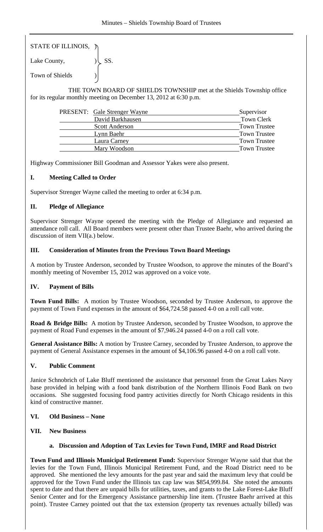| STATE OF ILLINOIS, η |            |
|----------------------|------------|
| Lake County,         | $\cup$ SS. |

Town of Shields )

 THE TOWN BOARD OF SHIELDS TOWNSHIP met at the Shields Township office for its regular monthly meeting on December 13, 2012 at 6:30 p.m.

| PRESENT: Gale Strenger Wayne | Supervisor          |
|------------------------------|---------------------|
| David Barkhausen             | <b>Town Clerk</b>   |
| <b>Scott Anderson</b>        | <b>Town Trustee</b> |
| Lynn Baehr                   | <b>Town Trustee</b> |
| Laura Carney                 | <b>Town Trustee</b> |
| Mary Woodson                 | <b>Town Trustee</b> |

Highway Commissioner Bill Goodman and Assessor Yakes were also present.

# **I. Meeting Called to Order**

Supervisor Strenger Wayne called the meeting to order at 6:34 p.m.

# **II. Pledge of Allegiance**

Supervisor Strenger Wayne opened the meeting with the Pledge of Allegiance and requested an attendance roll call. All Board members were present other than Trustee Baehr, who arrived during the discussion of item VII(a.) below.

### **III. Consideration of Minutes from the Previous Town Board Meetings**

A motion by Trustee Anderson, seconded by Trustee Woodson, to approve the minutes of the Board's monthly meeting of November 15, 2012 was approved on a voice vote.

# **IV. Payment of Bills**

**Town Fund Bills:** A motion by Trustee Woodson, seconded by Trustee Anderson, to approve the payment of Town Fund expenses in the amount of \$64,724.58 passed 4-0 on a roll call vote.

**Road & Bridge Bills:** A motion by Trustee Anderson, seconded by Trustee Woodson, to approve the payment of Road Fund expenses in the amount of \$7,946.24 passed 4-0 on a roll call vote.

**General Assistance Bills:** A motion by Trustee Carney, seconded by Trustee Anderson, to approve the payment of General Assistance expenses in the amount of \$4,106.96 passed 4-0 on a roll call vote.

### **V. Public Comment**

Janice Schnobrich of Lake Bluff mentioned the assistance that personnel from the Great Lakes Navy base provided in helping with a food bank distribution of the Northern Illinois Food Bank on two occasions. She suggested focusing food pantry activities directly for North Chicago residents in this kind of constructive manner.

# **VI. Old Business – None**

**VII. New Business** 

### **a. Discussion and Adoption of Tax Levies for Town Fund, IMRF and Road District**

**Town Fund and Illinois Municipal Retirement Fund:** Supervisor Strenger Wayne said that that the levies for the Town Fund, Illinois Municipal Retirement Fund, and the Road District need to be approved. She mentioned the levy amounts for the past year and said the maximum levy that could be approved for the Town Fund under the Illinois tax cap law was \$854,999.84. She noted the amounts spent to date and that there are unpaid bills for utilities, taxes, and grants to the Lake Forest-Lake Bluff Senior Center and for the Emergency Assistance partnership line item. (Trustee Baehr arrived at this point). Trustee Carney pointed out that the tax extension (property tax revenues actually billed) was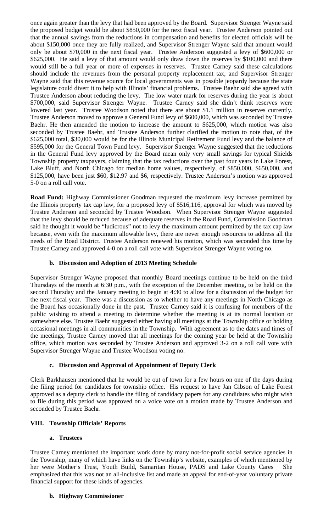once again greater than the levy that had been approved by the Board. Supervisor Strenger Wayne said the proposed budget would be about \$850,000 for the next fiscal year. Trustee Anderson pointed out that the annual savings from the reductions in compensation and benefits for elected officials will be about \$150,000 once they are fully realized, and Supervisor Strenger Wayne said that amount would only be about \$70,000 in the next fiscal year. Trustee Anderson suggested a levy of \$600,000 or \$625,000. He said a levy of that amount would only draw down the reserves by \$100,000 and there would still be a full year or more of expenses in reserves. Trustee Carney said these calculations should include the revenues from the personal property replacement tax, and Supervisor Strenger Wayne said that this revenue source for local governments was in possible jeopardy because the state legislature could divert it to help with Illinois' financial problems. Trustee Baehr said she agreed with Trustee Anderson about reducing the levy. The low water mark for reserves during the year is about \$700,000, said Supervisor Strenger Wayne. Trustee Carney said she didn't think reserves were lowered last year. Trustee Woodson noted that there are about \$1.1 million in reserves currently. Trustee Anderson moved to approve a General Fund levy of \$600,000, which was seconded by Trustee Baehr. He then amended the motion to increase the amount to \$625,000, which motion was also seconded by Trustee Baehr, and Trustee Anderson further clarified the motion to note that, of the \$625,000 total, \$30,000 would be for the Illinois Municipal Retirement Fund levy and the balance of \$595,000 for the General Town Fund levy. Supervisor Strenger Wayne suggested that the reductions in the General Fund levy approved by the Board mean only very small savings for typical Shields Township property taxpayers, claiming that the tax reductions over the past four years in Lake Forest, Lake Bluff, and North Chicago for median home values, respectively, of \$850,000, \$650,000, and \$125,000, have been just \$60, \$12.97 and \$6, respectively. Trustee Anderson's motion was approved 5-0 on a roll call vote.

**Road Fund:** Highway Commissioner Goodman requested the maximum levy increase permitted by the Illinois property tax cap law, for a proposed levy of \$516,116, approval for which was moved by Trustee Anderson and seconded by Trustee Woodson. When Supervisor Strenger Wayne suggested that the levy should be reduced because of adequate reserves in the Road Fund, Commission Goodman said he thought it would be "ludicrous" not to levy the maximum amount permitted by the tax cap law because, even with the maximum allowable levy, there are never enough resources to address all the needs of the Road District. Trustee Anderson renewed his motion, which was seconded this time by Trustee Carney and approved 4-0 on a roll call vote with Supervisor Strenger Wayne voting no.

### **b. Discussion and Adoption of 2013 Meeting Schedule**

Supervisor Strenger Wayne proposed that monthly Board meetings continue to be held on the third Thursdays of the month at 6:30 p.m., with the exception of the December meeting, to be held on the second Thursday and the January meeting to begin at 4:30 to allow for a discussion of the budget for the next fiscal year. There was a discussion as to whether to have any meetings in North Chicago as the Board has occasionally done in the past. Trustee Carney said it is confusing for members of the public wishing to attend a meeting to determine whether the meeting is at its normal location or somewhere else. Trustee Baehr suggested either having all meetings at the Township office or holding occasional meetings in all communities in the Township. With agreement as to the dates and times of the meetings, Trustee Carney moved that all meetings for the coming year be held at the Township office, which motion was seconded by Trustee Anderson and approved 3-2 on a roll call vote with Supervisor Strenger Wayne and Trustee Woodson voting no.

### **c. Discussion and Approval of Appointment of Deputy Clerk**

Clerk Barkhausen mentioned that he would be out of town for a few hours on one of the days during the filing period for candidates for township office. His request to have Jan Gibson of Lake Forest approved as a deputy clerk to handle the filing of candidacy papers for any candidates who might wish to file during this period was approved on a voice vote on a motion made by Trustee Anderson and seconded by Trustee Baehr.

### **VIII. Township Officials' Reports**

### **a. Trustees**

Trustee Carney mentioned the important work done by many not-for-profit social service agencies in the Township, many of which have links on the Township's website, examples of which mentioned by her were Mother's Trust, Youth Build, Samaritan House, PADS and Lake County Cares She emphasized that this was not an all-inclusive list and made an appeal for end-of-year voluntary private financial support for these kinds of agencies.

### **b. Highway Commissioner**